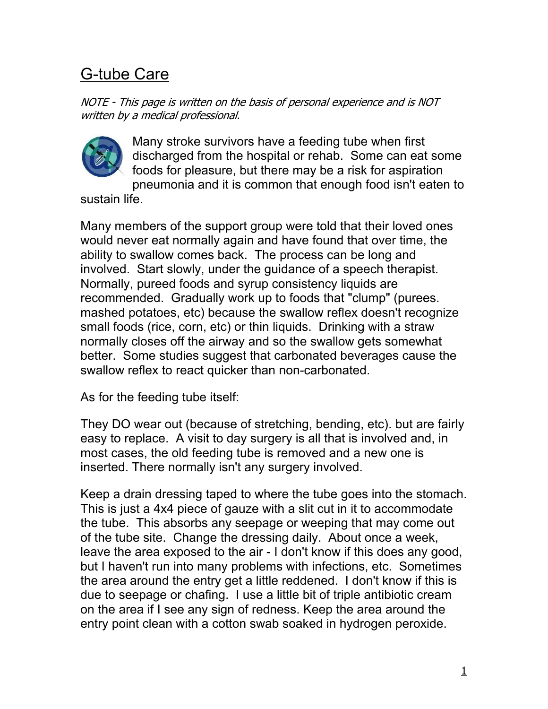## G-tube Care

NOTE - This page is written on the basis of personal experience and is NOT written by a medical professional.



Many stroke survivors have a feeding tube when first discharged from the hospital or rehab. Some can eat some foods for pleasure, but there may be a risk for aspiration pneumonia and it is common that enough food isn't eaten to

sustain life.

Many members of the support group were told that their loved ones would never eat normally again and have found that over time, the ability to swallow comes back. The process can be long and involved. Start slowly, under the guidance of a speech therapist. Normally, pureed foods and syrup consistency liquids are recommended. Gradually work up to foods that "clump" (purees. mashed potatoes, etc) because the swallow reflex doesn't recognize small foods (rice, corn, etc) or thin liquids. Drinking with a straw normally closes off the airway and so the swallow gets somewhat better. Some studies suggest that carbonated beverages cause the swallow reflex to react quicker than non-carbonated.

As for the feeding tube itself:

They DO wear out (because of stretching, bending, etc). but are fairly easy to replace. A visit to day surgery is all that is involved and, in most cases, the old feeding tube is removed and a new one is inserted. There normally isn't any surgery involved.

Keep a drain dressing taped to where the tube goes into the stomach. This is just a 4x4 piece of gauze with a slit cut in it to accommodate the tube. This absorbs any seepage or weeping that may come out of the tube site. Change the dressing daily. About once a week, leave the area exposed to the air - I don't know if this does any good, but I haven't run into many problems with infections, etc. Sometimes the area around the entry get a little reddened. I don't know if this is due to seepage or chafing. I use a little bit of triple antibiotic cream on the area if I see any sign of redness. Keep the area around the entry point clean with a cotton swab soaked in hydrogen peroxide.